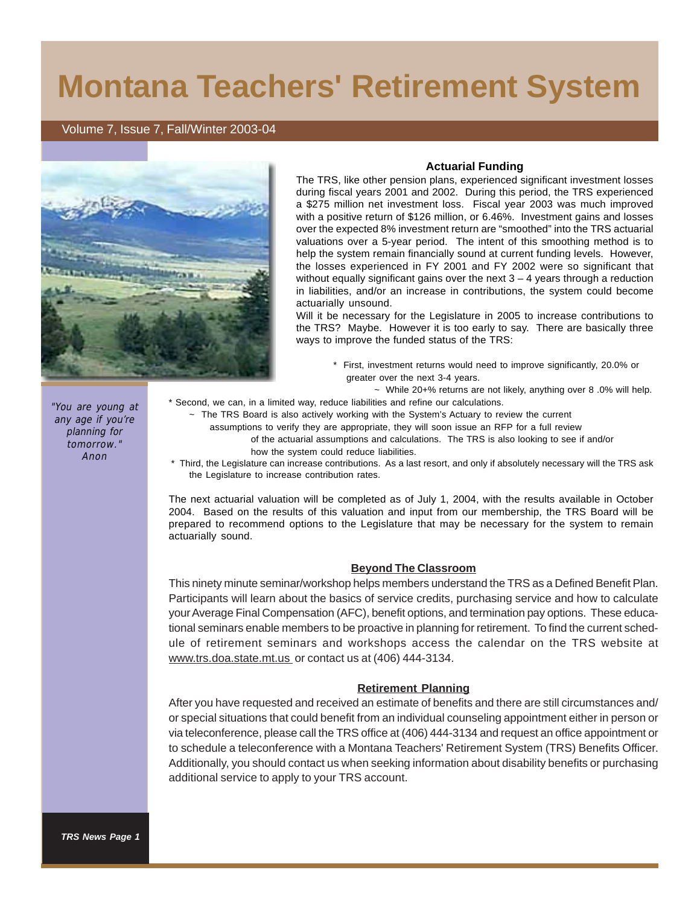# **Montana Teachers' Retirement System**

# Volume 7, Issue 7, Fall/Winter 2003-04



### **Actuarial Funding**

The TRS, like other pension plans, experienced significant investment losses during fiscal years 2001 and 2002. During this period, the TRS experienced a \$275 million net investment loss. Fiscal year 2003 was much improved with a positive return of \$126 million, or 6.46%. Investment gains and losses over the expected 8% investment return are "smoothed" into the TRS actuarial valuations over a 5-year period. The intent of this smoothing method is to help the system remain financially sound at current funding levels. However, the losses experienced in FY 2001 and FY 2002 were so significant that without equally significant gains over the next  $3 - 4$  years through a reduction in liabilities, and/or an increase in contributions, the system could become actuarially unsound.

Will it be necessary for the Legislature in 2005 to increase contributions to the TRS? Maybe. However it is too early to say. There are basically three ways to improve the funded status of the TRS:

- \* First, investment returns would need to improve significantly, 20.0% or greater over the next 3-4 years.
	- ~ While 20+% returns are not likely, anything over 8 .0% will help.
- \* Second, we can, in a limited way, reduce liabilities and refine our calculations.
	- ~ The TRS Board is also actively working with the System's Actuary to review the current
		- assumptions to verify they are appropriate, they will soon issue an RFP for a full review
			- of the actuarial assumptions and calculations. The TRS is also looking to see if and/or how the system could reduce liabilities.
- \* Third, the Legislature can increase contributions. As a last resort, and only if absolutely necessary will the TRS ask the Legislature to increase contribution rates.

The next actuarial valuation will be completed as of July 1, 2004, with the results available in October 2004. Based on the results of this valuation and input from our membership, the TRS Board will be prepared to recommend options to the Legislature that may be necessary for the system to remain actuarially sound.

# **Beyond The Classroom**

This ninety minute seminar/workshop helps members understand the TRS as a Defined Benefit Plan. Participants will learn about the basics of service credits, purchasing service and how to calculate your Average Final Compensation (AFC), benefit options, and termination pay options. These educational seminars enable members to be proactive in planning for retirement. To find the current schedule of retirement seminars and workshops access the calendar on the TRS website at www.trs.doa.state.mt.us or contact us at (406) 444-3134.

## **Retirement Planning**

After you have requested and received an estimate of benefits and there are still circumstances and/ or special situations that could benefit from an individual counseling appointment either in person or via teleconference, please call the TRS office at (406) 444-3134 and request an office appointment or to schedule a teleconference with a Montana Teachers' Retirement System (TRS) Benefits Officer. Additionally, you should contact us when seeking information about disability benefits or purchasing additional service to apply to your TRS account.

"You are young at any age if you're planning for tomorrow." Anon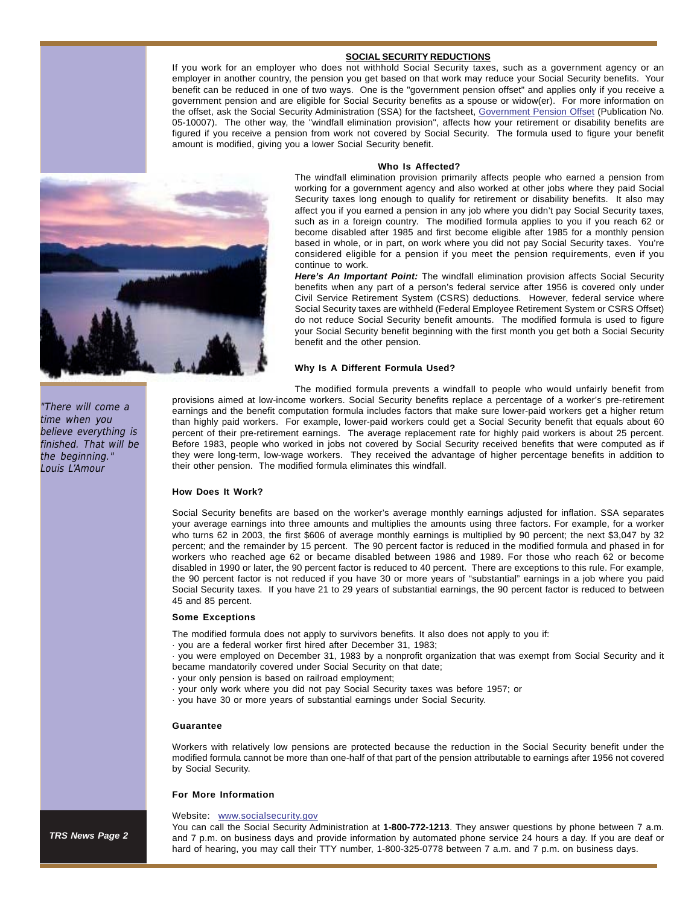### **SOCIAL SECURITY REDUCTIONS**

If you work for an employer who does not withhold Social Security taxes, such as a government agency or an employer in another country, the pension you get based on that work may reduce your Social Security benefits. Your benefit can be reduced in one of two ways. One is the "government pension offset" and applies only if you receive a government pension and are eligible for Social Security benefits as a spouse or widow(er). For more information on the offset, ask the Social Security Administration (SSA) for the factsheet, Government Pension Offset (Publication No. 05-10007). The other way, the "windfall elimination provision", affects how your retirement or disability benefits are figured if you receive a pension from work not covered by Social Security. The formula used to figure your benefit amount is modified, giving you a lower Social Security benefit.

### **Who Is Affected?**

The windfall elimination provision primarily affects people who earned a pension from working for a government agency and also worked at other jobs where they paid Social Security taxes long enough to qualify for retirement or disability benefits. It also may affect you if you earned a pension in any job where you didn't pay Social Security taxes, such as in a foreign country. The modified formula applies to you if you reach 62 or become disabled after 1985 and first become eligible after 1985 for a monthly pension based in whole, or in part, on work where you did not pay Social Security taxes. You're considered eligible for a pension if you meet the pension requirements, even if you continue to work.

**Here's An Important Point:** The windfall elimination provision affects Social Security benefits when any part of a person's federal service after 1956 is covered only under Civil Service Retirement System (CSRS) deductions. However, federal service where Social Security taxes are withheld (Federal Employee Retirement System or CSRS Offset) do not reduce Social Security benefit amounts. The modified formula is used to figure your Social Security benefit beginning with the first month you get both a Social Security benefit and the other pension.

### **Why Is A Different Formula Used?**

The modified formula prevents a windfall to people who would unfairly benefit from provisions aimed at low-income workers. Social Security benefits replace a percentage of a worker's pre-retirement earnings and the benefit computation formula includes factors that make sure lower-paid workers get a higher return than highly paid workers. For example, lower-paid workers could get a Social Security benefit that equals about 60 percent of their pre-retirement earnings. The average replacement rate for highly paid workers is about 25 percent. Before 1983, people who worked in jobs not covered by Social Security received benefits that were computed as if they were long-term, low-wage workers. They received the advantage of higher percentage benefits in addition to their other pension. The modified formula eliminates this windfall.

### **How Does It Work?**

Social Security benefits are based on the worker's average monthly earnings adjusted for inflation. SSA separates your average earnings into three amounts and multiplies the amounts using three factors. For example, for a worker who turns 62 in 2003, the first \$606 of average monthly earnings is multiplied by 90 percent; the next \$3,047 by 32 percent; and the remainder by 15 percent. The 90 percent factor is reduced in the modified formula and phased in for workers who reached age 62 or became disabled between 1986 and 1989. For those who reach 62 or become disabled in 1990 or later, the 90 percent factor is reduced to 40 percent. There are exceptions to this rule. For example, the 90 percent factor is not reduced if you have 30 or more years of "substantial" earnings in a job where you paid Social Security taxes. If you have 21 to 29 years of substantial earnings, the 90 percent factor is reduced to between 45 and 85 percent.

### **Some Exceptions**

The modified formula does not apply to survivors benefits. It also does not apply to you if:

· you are a federal worker first hired after December 31, 1983;

· you were employed on December 31, 1983 by a nonprofit organization that was exempt from Social Security and it became mandatorily covered under Social Security on that date;

- · your only pension is based on railroad employment;
- · your only work where you did not pay Social Security taxes was before 1957; or
- · you have 30 or more years of substantial earnings under Social Security.

#### **Guarantee**

Workers with relatively low pensions are protected because the reduction in the Social Security benefit under the modified formula cannot be more than one-half of that part of the pension attributable to earnings after 1956 not covered by Social Security.

### **For More Information**

### Website: www.socialsecurity.gov

You can call the Social Security Administration at **1-800-772-1213**. They answer questions by phone between 7 a.m. and 7 p.m. on business days and provide information by automated phone service 24 hours a day. If you are deaf or hard of hearing, you may call their TTY number, 1-800-325-0778 between 7 a.m. and 7 p.m. on business days.



"There will come a time when you believe everything is finished. That will be the beginning." Louis L'Amour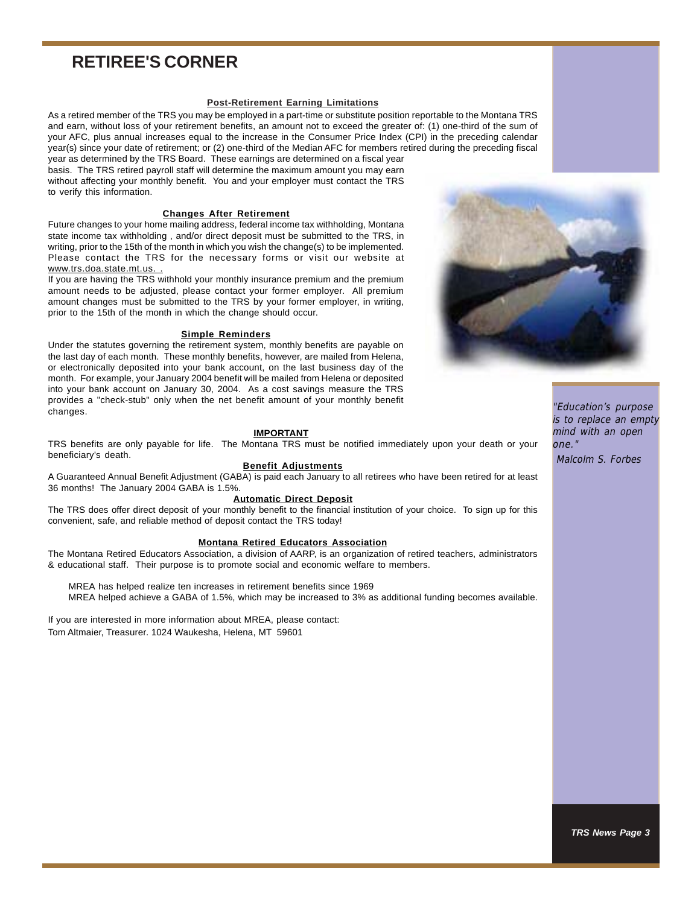# **RETIREE'S CORNER**

### **Post-Retirement Earning Limitations**

As a retired member of the TRS you may be employed in a part-time or substitute position reportable to the Montana TRS and earn, without loss of your retirement benefits, an amount not to exceed the greater of: (1) one-third of the sum of your AFC, plus annual increases equal to the increase in the Consumer Price Index (CPI) in the preceding calendar year(s) since your date of retirement; or (2) one-third of the Median AFC for members retired during the preceding fiscal year as determined by the TRS Board. These earnings are determined on a fiscal year

basis. The TRS retired payroll staff will determine the maximum amount you may earn without affecting your monthly benefit. You and your employer must contact the TRS to verify this information.

### **Changes After Retirement**

Future changes to your home mailing address, federal income tax withholding, Montana state income tax withholding , and/or direct deposit must be submitted to the TRS, in writing, prior to the 15th of the month in which you wish the change(s) to be implemented. Please contact the TRS for the necessary forms or visit our website at www.trs.doa.state.mt.us. .

If you are having the TRS withhold your monthly insurance premium and the premium amount needs to be adjusted, please contact your former employer. All premium amount changes must be submitted to the TRS by your former employer, in writing, prior to the 15th of the month in which the change should occur.

### **Simple Reminders**

Under the statutes governing the retirement system, monthly benefits are payable on the last day of each month. These monthly benefits, however, are mailed from Helena, or electronically deposited into your bank account, on the last business day of the month. For example, your January 2004 benefit will be mailed from Helena or deposited into your bank account on January 30, 2004. As a cost savings measure the TRS provides a "check-stub" only when the net benefit amount of your monthly benefit changes.

### **IMPORTANT**

TRS benefits are only payable for life. The Montana TRS must be notified immediately upon your death or your beneficiary's death.

### **Benefit Adjustments**

A Guaranteed Annual Benefit Adjustment (GABA) is paid each January to all retirees who have been retired for at least 36 months! The January 2004 GABA is 1.5%.

### **Automatic Direct Deposit**

The TRS does offer direct deposit of your monthly benefit to the financial institution of your choice. To sign up for this convenient, safe, and reliable method of deposit contact the TRS today!

### **Montana Retired Educators Association**

The Montana Retired Educators Association, a division of AARP, is an organization of retired teachers, administrators & educational staff. Their purpose is to promote social and economic welfare to members.

MREA has helped realize ten increases in retirement benefits since 1969 MREA helped achieve a GABA of 1.5%, which may be increased to 3% as additional funding becomes available.

If you are interested in more information about MREA, please contact: Tom Altmaier, Treasurer. 1024 Waukesha, Helena, MT 59601

"Education's purpose is to replace an empty mind with an open one."

Malcolm S. Forbes



**TRS News Page 3**